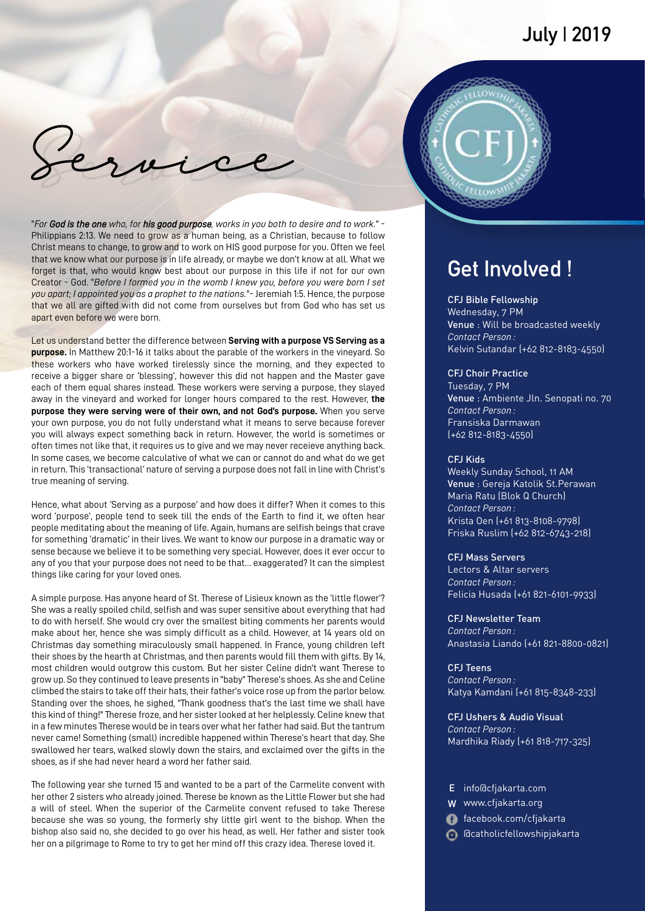

"*For God is the one who, for his good purpose, works in you both to desire and to work.*" - Philippians 2:13. We need to grow as a human being, as a Christian, because to follow Christ means to change, to grow and to work on HIS good purpose for you. Often we feel that we know what our purpose is in life already, or maybe we don't know at all. What we forget is that, who would know best about our purpose in this life if not for our own Creator - God. "*Before I formed you in the womb I knew you, before you were born I set you apart; I appointed you as a prophet to the nations.*"- Jeremiah 1:5. Hence, the purpose that we all are gifted with did not come from ourselves but from God who has set us apart even before we were born.

Let us understand better the difference between **Serving with a purpose VS Serving as a purpose.** In Matthew 20:1-16 it talks about the parable of the workers in the vineyard. So these workers who have worked tirelessly since the morning, and they expected to receive a bigger share or 'blessing', however this did not happen and the Master gave each of them equal shares instead. These workers were serving a purpose, they slayed away in the vineyard and worked for longer hours compared to the rest. However, **the purpose they were serving were of their own, and not God's purpose.** When you serve your own purpose, you do not fully understand what it means to serve because forever you will always expect something back in return. However, the world is sometimes or often times not like that, it requires us to give and we may never receieve anything back. In some cases, we become calculative of what we can or cannot do and what do we get in return. This 'transactional' nature of serving a purpose does not fall in line with Christ's true meaning of serving.

Hence, what about 'Serving as a purpose' and how does it differ? When it comes to this word 'purpose', people tend to seek till the ends of the Earth to find it, we often hear people meditating about the meaning of life. Again, humans are selfish beings that crave for something 'dramatic' in their lives. We want to know our purpose in a dramatic way or sense because we believe it to be something very special. However, does it ever occur to any of you that your purpose does not need to be that… exaggerated? It can the simplest things like caring for your loved ones.

A simple purpose. Has anyone heard of St. Therese of Lisieux known as the 'little flower'? She was a really spoiled child, selfish and was super sensitive about everything that had to do with herself. She would cry over the smallest biting comments her parents would make about her, hence she was simply difficult as a child. However, at 14 years old on Christmas day something miraculously small happened. In France, young children left their shoes by the hearth at Christmas, and then parents would fill them with gifts. By 14, most children would outgrow this custom. But her sister Celine didn't want Therese to grow up. So they continued to leave presents in "baby" Therese's shoes. As she and Celine climbed the stairs to take off their hats, their father's voice rose up from the parlor below. Standing over the shoes, he sighed, "Thank goodness that's the last time we shall have this kind of thing!" Therese froze, and her sister looked at her helplessly. Celine knew that in a few minutes Therese would be in tears over what her father had said. But the tantrum never came! Something (small) incredible happened within Therese's heart that day. She swallowed her tears, walked slowly down the stairs, and exclaimed over the gifts in the shoes, as if she had never heard a word her father said.

The following year she turned 15 and wanted to be a part of the Carmelite convent with her other 2 sisters who already joined. Therese be known as the Little Flower but she had a will of steel. When the superior of the Carmelite convent refused to take Therese because she was so young, the formerly shy little girl went to the bishop. When the bishop also said no, she decided to go over his head, as well. Her father and sister took her on a pilgrimage to Rome to try to get her mind off this crazy idea. Therese loved it.

# **Get Involved !**

### CFJ Bible Fellowship

Wednesday, 7 PM Venue : Will be broadcasted weekly *Contact Person :* Kelvin Sutandar (+62 812-8183-4550)

### CFJ Choir Practice

Tuesday, 7 PM Venue : Ambiente Jln. Senopati no. 70 *Contact Person :* Fransiska Darmawan (+62 812-8183-4550)

### CFJ Kids

Weekly Sunday School, 11 AM Venue : Gereja Katolik St.Perawan *Contact Person :* Krista Oen (+61 813-8108-9798) Friska Ruslim (+62 812-6743-218) Maria Ratu (Blok Q Church)

#### CFJ Mass Servers

Lectors & Altar servers *Contact Person :* Felicia Husada (+61 821-6101-9933)

CFJ Newsletter Team *Contact Person :* Anastasia Liando (+61 821-8800-0821)

CFJ Teens *Contact Person :* Katya Kamdani (+61 815-8348-233)

CFJ Ushers & Audio Visual *Contact Person :* Mardhika Riady (+61 818-717-325)

## E info@cfjakarta.com

- W www.cfjakarta.org
- facebook.com/cfjakarta
- @catholicfellowshipjakarta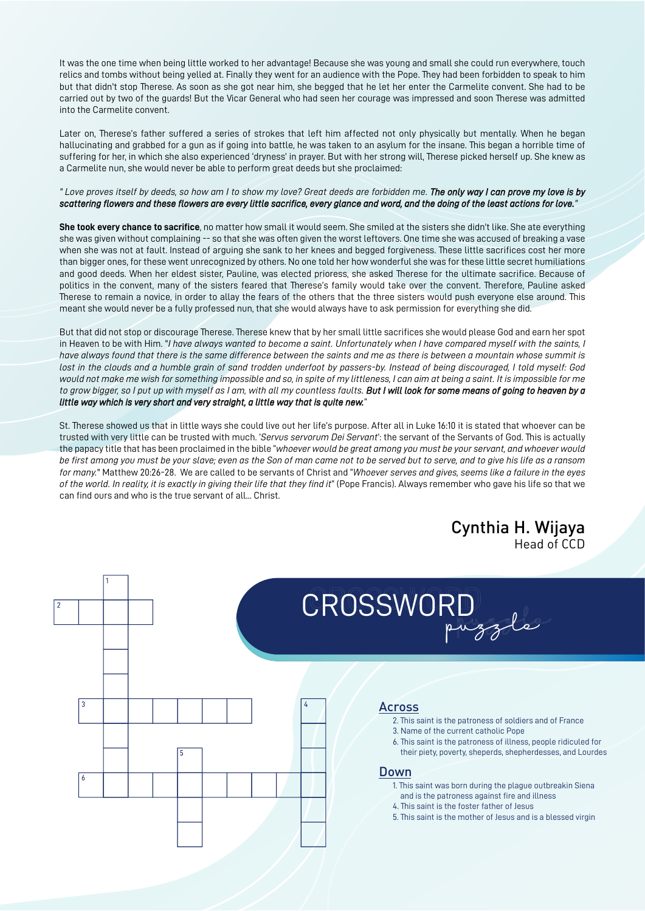It was the one time when being little worked to her advantage! Because she was young and small she could run everywhere, touch relics and tombs without being yelled at. Finally they went for an audience with the Pope. They had been forbidden to speak to him but that didn't stop Therese. As soon as she got near him, she begged that he let her enter the Carmelite convent. She had to be carried out by two of the guards! But the Vicar General who had seen her courage was impressed and soon Therese was admitted into the Carmelite convent.

Later on, Therese's father suffered a series of strokes that left him affected not only physically but mentally. When he began hallucinating and grabbed for a gun as if going into battle, he was taken to an asylum for the insane. This began a horrible time of suffering for her, in which she also experienced 'dryness' in prayer. But with her strong will, Therese picked herself up. She knew as a Carmelite nun, she would never be able to perform great deeds but she proclaimed:

#### *" Love proves itself by deeds, so how am I to show my love? Great deeds are forbidden me. The only way I can prove my love is by scattering flowers and these flowers are every little sacrifice, every glance and word, and the doing of the least actions for love."*

**She took every chance to sacrifice**, no matter how small it would seem. She smiled at the sisters she didn't like. She ate everything she was given without complaining -- so that she was often given the worst leftovers. One time she was accused of breaking a vase when she was not at fault. Instead of arguing she sank to her knees and begged forgiveness. These little sacrifices cost her more than bigger ones, for these went unrecognized by others. No one told her how wonderful she was for these little secret humiliations and good deeds. When her eldest sister, Pauline, was elected prioress, she asked Therese for the ultimate sacrifice. Because of politics in the convent, many of the sisters feared that Therese's family would take over the convent. Therefore, Pauline asked Therese to remain a novice, in order to allay the fears of the others that the three sisters would push everyone else around. This meant she would never be a fully professed nun, that she would always have to ask permission for everything she did.

But that did not stop or discourage Therese. Therese knew that by her small little sacrifices she would please God and earn her spot in Heaven to be with Him. "*I have always wanted to become a saint. Unfortunately when I have compared myself with the saints, I have always found that there is the same difference between the saints and me as there is between a mountain whose summit is lost in the clouds and a humble grain of sand trodden underfoot by passers-by. Instead of being discouraged, I told myself: God would not make me wish for something impossible and so, in spite of my littleness, I can aim at being a saint. It is impossible for me to grow bigger, so I put up with myself as I am, with all my countless faults. But I will look for some means of going to heaven by a little way which is very short and very straight, a little way that is quite new.*"

St. Therese showed us that in little ways she could live out her life's purpose. After all in Luke 16:10 it is stated that whoever can be trusted with very little can be trusted with much. '*Servus servorum Dei Servant*': the servant of the Servants of God. This is actually the papacy title that has been proclaimed in the bible "*whoever would be great among you must be your servant, and whoever would be first among you must be your slave; even as the Son of man came not to be served but to serve, and to give his life as a ransom for many.*" Matthew 20:26-28. We are called to be servants of Christ and "*Whoever serves and gives, seems like a failure in the eyes of the world. In reality, it is exactly in giving their life that they find it*" (Pope Francis). Always remember who gave his life so that we can find ours and who is the true servant of all... Christ.

# Cynthia H. Wijaya Head of CCD

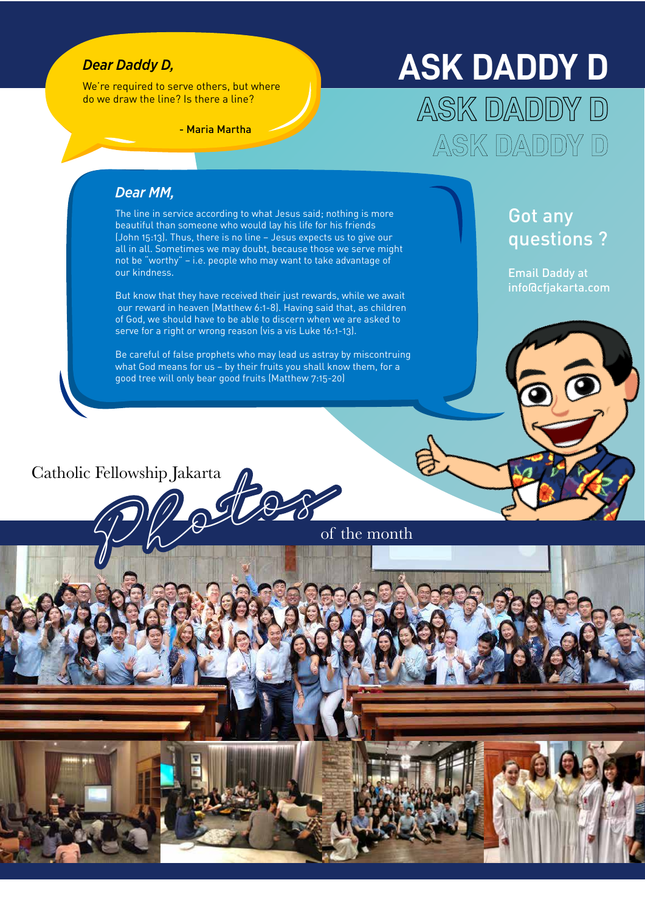# *Dear Daddy D,*

*Dear MM,*

our kindness.

We're required to serve others, but where do we draw the line? Is there a line?

# **ASK DADDY D** ASK DADDY D

ASK DADDY D

- Maria Martha

# Got any questions ?

Email Daddy at info@cfjakarta.com

Be careful of false prophets who may lead us astray by miscontruing what God means for us – by their fruits you shall know them, for a good tree will only bear good fruits (Matthew 7:15-20)

But know that they have received their just rewards, while we await our reward in heaven (Matthew 6:1-8). Having said that, as children of God, we should have to be able to discern when we are asked to

serve for a right or wrong reason (vis a vis Luke 16:1-13).

The line in service according to what Jesus said; nothing is more beautiful than someone who would lay his life for his friends (John 15:13). Thus, there is no line – Jesus expects us to give our all in all. Sometimes we may doubt, because those we serve might not be "worthy" – i.e. people who may want to take advantage of

# Catholic Fellowship Jakarta

of the month